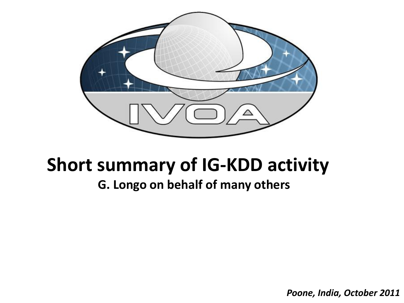

## **Short summary of IG-KDD activity**

## **G. Longo on behalf of many others**

*Poone, India, October 2011*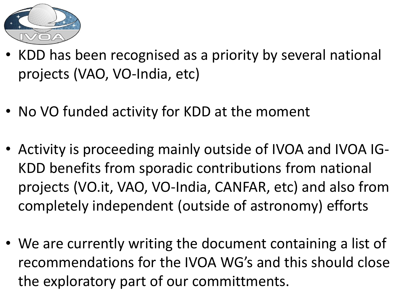

- KDD has been recognised as a priority by several national projects (VAO, VO-India, etc)
- No VO funded activity for KDD at the moment
- Activity is proceeding mainly outside of IVOA and IVOA IG-KDD benefits from sporadic contributions from national projects (VO.it, VAO, VO-India, CANFAR, etc) and also from completely independent (outside of astronomy) efforts
- We are currently writing the document containing a list of recommendations for the IVOA WG's and this should close the exploratory part of our committments.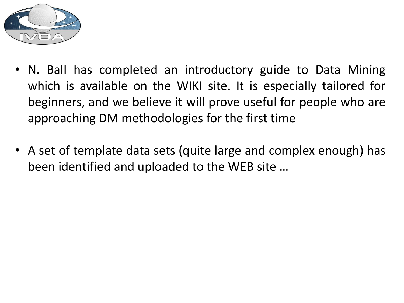

- N. Ball has completed an introductory guide to Data Mining which is available on the WIKI site. It is especially tailored for beginners, and we believe it will prove useful for people who are approaching DM methodologies for the first time
- A set of template data sets (quite large and complex enough) has been identified and uploaded to the WEB site …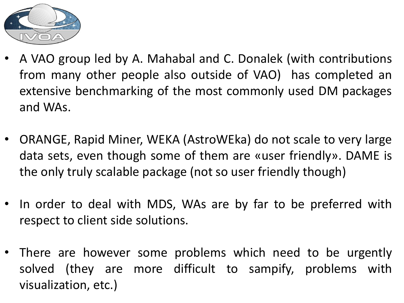

- A VAO group led by A. Mahabal and C. Donalek (with contributions from many other people also outside of VAO) has completed an extensive benchmarking of the most commonly used DM packages and WAs.
- ORANGE, Rapid Miner, WEKA (AstroWEka) do not scale to very large data sets, even though some of them are «user friendly». DAME is the only truly scalable package (not so user friendly though)
- In order to deal with MDS, WAs are by far to be preferred with respect to client side solutions.
- There are however some problems which need to be urgently solved (they are more difficult to sampify, problems with visualization, etc.)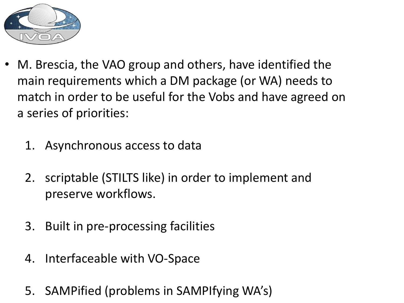

- M. Brescia, the VAO group and others, have identified the main requirements which a DM package (or WA) needs to match in order to be useful for the Vobs and have agreed on a series of priorities:
	- 1. Asynchronous access to data
	- 2. scriptable (STILTS like) in order to implement and preserve workflows.
	- 3. Built in pre-processing facilities
	- 4. Interfaceable with VO-Space
	- 5. SAMPified (problems in SAMPIfying WA's)